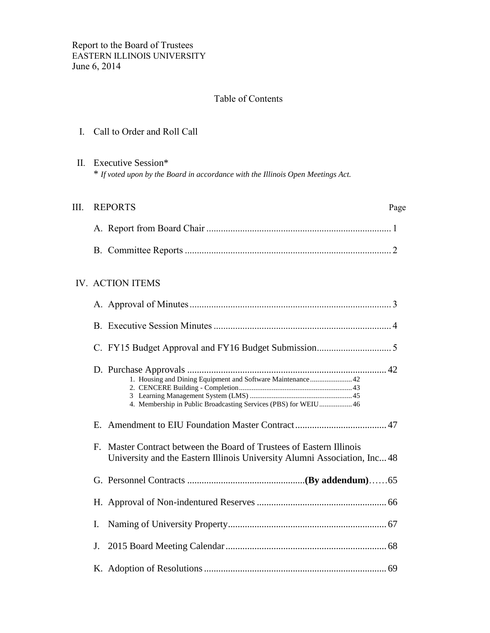## Table of Contents

| I. |  | Call to Order and Roll Call |  |  |
|----|--|-----------------------------|--|--|
|    |  |                             |  |  |

 II. Executive Session\* \* *If voted upon by the Board in accordance with the Illinois Open Meetings Act.*

| Ш. | <b>REPORTS</b>                                                                                                                                       | Page |
|----|------------------------------------------------------------------------------------------------------------------------------------------------------|------|
|    |                                                                                                                                                      |      |
|    |                                                                                                                                                      |      |
|    | <b>IV. ACTION ITEMS</b>                                                                                                                              |      |
|    |                                                                                                                                                      |      |
|    |                                                                                                                                                      |      |
|    |                                                                                                                                                      |      |
|    | 1. Housing and Dining Equipment and Software Maintenance 42<br>4. Membership in Public Broadcasting Services (PBS) for WEIU 46                       |      |
|    |                                                                                                                                                      |      |
|    | Master Contract between the Board of Trustees of Eastern Illinois<br>F.<br>University and the Eastern Illinois University Alumni Association, Inc 48 |      |
|    |                                                                                                                                                      |      |
|    |                                                                                                                                                      |      |
|    | I.                                                                                                                                                   |      |
|    | J.                                                                                                                                                   |      |
|    |                                                                                                                                                      |      |